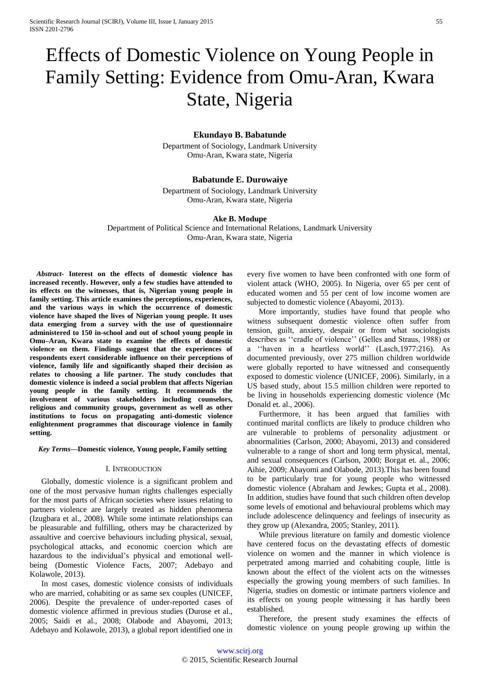# Effects of Domestic Violence on Young People in Family Setting: Evidence from Omu-Aran, Kwara State, Nigeria

## **Ekundayo B. Babatunde**

Department of Sociology, Landmark University Omu-Aran, Kwara state, Nigeria

## **Babatunde E. Durowaiye**

Department of Sociology, Landmark University Omu-Aran, Kwara state, Nigeria

#### **Ake B. Modupe**

Department of Political Science and International Relations, Landmark University Omu-Aran, Kwara state, Nigeria

*Abstract***- Interest on the effects of domestic violence has increased recently. However, only a few studies have attended to its effects on the witnesses, that is, Nigerian young people in family setting. This article examines the perceptions, experiences, and the various ways in which the occurrence of domestic violence have shaped the lives of Nigerian young people. It uses data emerging from a survey with the use of questionnaire administered to 150 in-school and out of school young people in Omu–Aran, Kwara state to examine the effects of domestic violence on them. Findings suggest that the experiences of respondents exert considerable influence on their perceptions of violence, family life and significantly shaped their decision as relates to choosing a life partner. The study concludes that domestic violence is indeed a social problem that affects Nigerian young people in the family setting. It recommends the involvement of various stakeholders including counselors, religious and community groups, government as well as other institutions to focus on propagating anti-domestic violence enlightenment programmes that discourage violence in family setting.**

*Key Terms***—Domestic violence, Young people, Family setting**

#### I. INTRODUCTION

Globally, domestic violence is a significant problem and one of the most pervasive human rights challenges especially for the most parts of African societies where issues relating to partners violence are largely treated as hidden phenomena (Izugbara et al., 2008). While some intimate relationships can be pleasurable and fulfilling, others may be characterized by assaultive and coercive behaviours including physical, sexual, psychological attacks, and economic coercion which are hazardous to the individual's physical and emotional wellbeing (Domestic Violence Facts, 2007; Adebayo and Kolawole, 2013).

In most cases, domestic violence consists of individuals who are married, cohabiting or as same sex couples (UNICEF, 2006). Despite the prevalence of under-reported cases of domestic violence affirmed in previous studies (Durose et al., 2005; Saidi et al., 2008; Olabode and Abayomi, 2013; Adebayo and Kolawole, 2013), a global report identified one in every five women to have been confronted with one form of violent attack (WHO, 2005). In Nigeria, over 65 per cent of educated women and 55 per cent of low income women are subjected to domestic violence (Abayomi, 2013).

More importantly, studies have found that people who witness subsequent domestic violence often suffer from tension, guilt, anxiety, despair or from what sociologists describes as ''cradle of violence'' (Gelles and Straus, 1988) or a ''haven in a heartless world'' (Lasch,1977:216). As documented previously, over 275 million children worldwide were globally reported to have witnessed and consequently exposed to domestic violence (UNICEF, 2006). Similarly, in a US based study, about 15.5 million children were reported to be living in households experiencing domestic violence (Mc Donald et. al., 2006).

Furthermore, it has been argued that families with continued marital conflicts are likely to produce children who are vulnerable to problems of personality adjustment or abnormalities (Carlson, 2000; Abayomi, 2013) and considered vulnerable to a range of short and long term physical, mental, and sexual consequences (Carlson, 2000; Borgat et. al., 2006; Aihie, 2009; Abayomi and Olabode, 2013).This has been found to be particularly true for young people who witnessed domestic violence (Abraham and Jewkes; Gupta et al., 2008). In addition, studies have found that such children often develop some levels of emotional and behavioural problems which may include adolescence delinquency and feelings of insecurity as they grow up (Alexandra, 2005; Stanley, 2011).

While previous literature on family and domestic violence have centered focus on the devastating effects of domestic violence on women and the manner in which violence is perpetrated among married and cohabiting couple, little is known about the effect of the violent acts on the witnesses especially the growing young members of such families. In Nigeria, studies on domestic or intimate partners violence and its effects on young people witnessing it has hardly been established.

Therefore, the present study examines the effects of domestic violence on young people growing up within the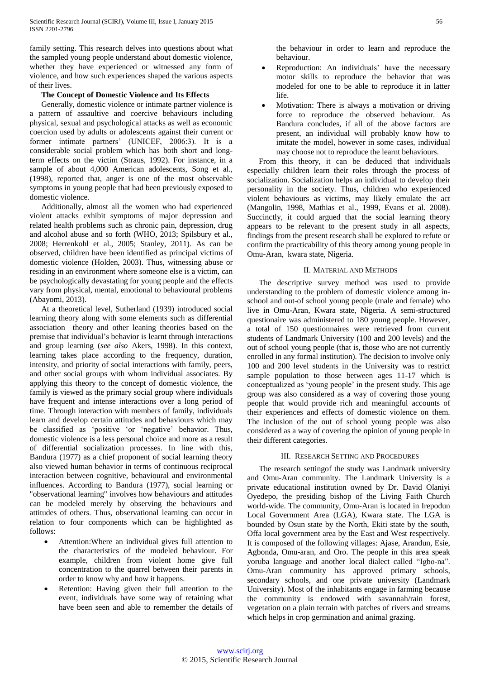family setting. This research delves into questions about what the sampled young people understand about domestic violence, whether they have experienced or witnessed any form of violence, and how such experiences shaped the various aspects of their lives.

## **The Concept of Domestic Violence and Its Effects**

Generally, domestic violence or intimate partner violence is a pattern of assaultive and coercive behaviours including physical, sexual and psychological attacks as well as economic coercion used by adults or adolescents against their current or former intimate partners' (UNICEF, 2006:3). It is a considerable social problem which has both short and longterm effects on the victim (Straus, 1992). For instance, in a sample of about 4,000 American adolescents, Song et al., (1998), reported that, anger is one of the most observable symptoms in young people that had been previously exposed to domestic violence.

Additionally, almost all the women who had experienced violent attacks exhibit symptoms of major depression and related health problems such as chronic pain, depression, drug and alcohol abuse and so forth (WHO, 2013; Spilsbury et al., 2008; Herrenkohl et al., 2005; Stanley, 2011). As can be observed, children have been identified as principal victims of domestic violence (Holden, 2003). Thus, witnessing abuse or residing in an environment where someone else is a victim, can be psychologically devastating for young people and the effects vary from physical, mental, emotional to behavioural problems (Abayomi, 2013).

At a theoretical level, Sutherland (1939) introduced social learning theory along with some elements such as differential association theory and other leaning theories based on the premise that individual's behavior is learnt through interactions and group learning (*see also* Akers, 1998). In this context, learning takes place according to the frequency, duration, intensity, and priority of social interactions with family, peers, and other social groups with whom individual associates. By applying this theory to the concept of domestic violence, the family is viewed as the primary social group where individuals have frequent and intense interactions over a long period of time. Through interaction with members of family, individuals learn and develop certain attitudes and behaviours which may be classified as 'positive 'or 'negative' behavior. Thus, domestic violence is a less personal choice and more as a result of differential socialization processes. In line with this, Bandura (1977) as a chief proponent of social learning theory also viewed human behavior in terms of continuous reciprocal interaction between cognitive, behavioural and environmental influences. According to Bandura (1977), social learning or "observational learning" involves how behaviours and attitudes can be modeled merely by observing the behaviours and attitudes of others. Thus, observational learning can occur in relation to four components which can be highlighted as follows:

- Attention:Where an individual gives full attention to the characteristics of the modeled behaviour. For example, children from violent home give full concentration to the quarrel between their parents in order to know why and how it happens.
- Retention: Having given their full attention to the event, individuals have some way of retaining what have been seen and able to remember the details of

the behaviour in order to learn and reproduce the behaviour.

- Reproduction: An individuals' have the necessary motor skills to reproduce the behavior that was modeled for one to be able to reproduce it in latter life.
- Motivation: There is always a motivation or driving force to reproduce the observed behaviour. As Bandura concludes, if all of the above factors are present, an individual will probably know how to imitate the model, however in some cases, individual may choose not to reproduce the learnt behaviours.

From this theory, it can be deduced that individuals especially children learn their roles through the process of socialization. Socialization helps an individual to develop their personality in the society. Thus, children who experienced violent behaviours as victims, may likely emulate the act (Mangolin, 1998, Mathias et al., 1999, Evans et al. 2008). Succinctly, it could argued that the social learning theory appears to be relevant to the present study in all aspects, findings from the present research shall be explored to refute or confirm the practicability of this theory among young people in Omu-Aran, kwara state, Nigeria.

#### II. MATERIAL AND METHODS

The descriptive survey method was used to provide understanding to the problem of domestic violence among inschool and out-of school young people (male and female) who live in Omu-Aran, Kwara state, Nigeria. A semi-structured questionaire was administered to 180 young people. However, a total of 150 questionnaires were retrieved from current students of Landmark University (100 and 200 levels) and the out of school young people (that is, those who are not currently enrolled in any formal institution). The decision to involve only 100 and 200 level students in the University was to restrict sample population to those between ages 11-17 which is conceptualized as 'young people' in the present study. This age group was also considered as a way of covering those young people that would provide rich and meaningful accounts of their experiences and effects of domestic violence on them. The inclusion of the out of school young people was also considered as a way of covering the opinion of young people in their different categories.

### III. RESEARCH SETTING AND PROCEDURES

The research settingof the study was Landmark university and Omu-Aran community. The Landmark University is a private educational institution owned by Dr. David Olaniyi Oyedepo, the presiding bishop of the Living Faith Church world-wide. The community, Omu-Aran is located in Irepodun Local Government Area (LGA), Kwara state. The LGA is bounded by Osun state by the North, Ekiti state by the south, Offa local government area by the East and West respectively. It is composed of the following villages: Ajase, Arandun, Esie, Agbonda, Omu-aran, and Oro. The people in this area speak yoruba language and another local dialect called "Igbo-na". Omu-Aran community has approved primary schools, secondary schools, and one private university (Landmark University). Most of the inhabitants engage in farming because the community is endowed with savannah/rain forest, vegetation on a plain terrain with patches of rivers and streams which helps in crop germination and animal grazing.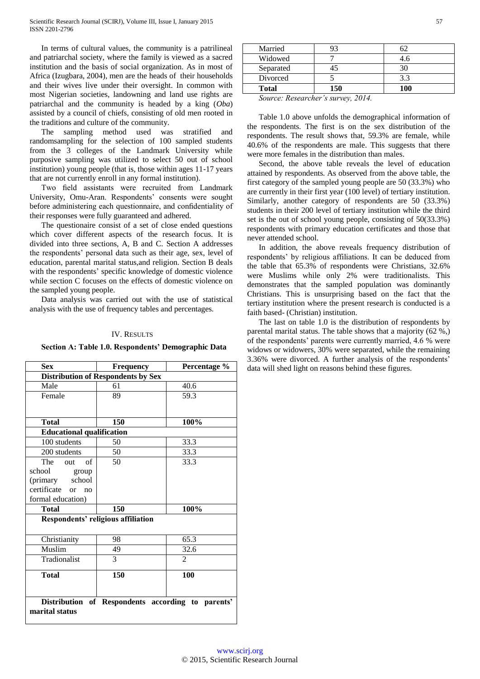In terms of cultural values, the community is a patrilineal and patriarchal society, where the family is viewed as a sacred institution and the basis of social organization. As in most of Africa (Izugbara, 2004), men are the heads of their households and their wives live under their oversight. In common with most Nigerian societies, landowning and land use rights are patriarchal and the community is headed by a king (*Oba*) assisted by a council of chiefs, consisting of old men rooted in the traditions and culture of the community.

The sampling method used was stratified and randomsampling for the selection of 100 sampled students from the 3 colleges of the Landmark University while purposive sampling was utilized to select 50 out of school institution) young people (that is, those within ages 11-17 years that are not currently enroll in any formal institution).

Two field assistants were recruited from Landmark University, Omu-Aran. Respondents' consents were sought before administering each questionnaire, and confidentiality of their responses were fully guaranteed and adhered.

The questionaire consist of a set of close ended questions which cover different aspects of the research focus. It is divided into three sections, A, B and C. Section A addresses the respondents' personal data such as their age, sex, level of education, parental marital status,and religion. Section B deals with the respondents' specific knowledge of domestic violence while section C focuses on the effects of domestic violence on the sampled young people.

Data analysis was carried out with the use of statistical analysis with the use of frequency tables and percentages.

#### IV. RESULTS

#### **Section A: Table 1.0. Respondents' Demographic Data**

| <b>Sex</b>                                                          | <b>Frequency</b> | Percentage %                |  |  |  |
|---------------------------------------------------------------------|------------------|-----------------------------|--|--|--|
| <b>Distribution of Respondents by Sex</b>                           |                  |                             |  |  |  |
| Male                                                                | 61               | 40.6                        |  |  |  |
| Female                                                              | 89               | 59.3                        |  |  |  |
|                                                                     |                  |                             |  |  |  |
| <b>Total</b>                                                        | 150              | 100%                        |  |  |  |
| <b>Educational qualification</b>                                    |                  |                             |  |  |  |
| 100 students                                                        | 50               | 33.3                        |  |  |  |
| 200 students                                                        | 50               | 33.3                        |  |  |  |
| of<br>The<br>out                                                    | 50               | 33.3                        |  |  |  |
| school<br>group                                                     |                  |                             |  |  |  |
| (primary<br>school                                                  |                  |                             |  |  |  |
| certificate<br>$\alpha$<br>no                                       |                  |                             |  |  |  |
| formal education)                                                   |                  |                             |  |  |  |
| <b>Total</b>                                                        | 150              | 100%                        |  |  |  |
| Respondents' religious affiliation                                  |                  |                             |  |  |  |
| Christianity                                                        | 98               | 65.3                        |  |  |  |
| Muslim                                                              | 49               | 32.6                        |  |  |  |
| Tradionalist                                                        | 3                | $\mathcal{D}_{\mathcal{L}}$ |  |  |  |
| Total                                                               | 150              | 100                         |  |  |  |
| Distribution of Respondents according to parents'<br>marital status |                  |                             |  |  |  |

| Widowed      |     |     |
|--------------|-----|-----|
| Separated    |     |     |
| Divorced     |     |     |
| <b>Total</b> | 150 | 100 |

*Source: Researcher's survey, 2014.*

Table 1.0 above unfolds the demographical information of the respondents. The first is on the sex distribution of the respondents. The result shows that, 59.3% are female, while 40.6% of the respondents are male. This suggests that there were more females in the distribution than males.

Second, the above table reveals the level of education attained by respondents. As observed from the above table, the first category of the sampled young people are 50 (33.3%) who are currently in their first year (100 level) of tertiary institution. Similarly, another category of respondents are 50 (33.3%) students in their 200 level of tertiary institution while the third set is the out of school young people, consisting of 50(33.3%) respondents with primary education certificates and those that never attended school.

In addition, the above reveals frequency distribution of respondents' by religious affiliations. It can be deduced from the table that 65.3% of respondents were Christians, 32.6% were Muslims while only 2% were traditionalists. This demonstrates that the sampled population was dominantly Christians. This is unsurprising based on the fact that the tertiary institution where the present research is conducted is a faith based- (Christian) institution.

The last on table 1.0 is the distribution of respondents by parental marital status. The table shows that a majority (62 %,) of the respondents' parents were currently married, 4.6 % were widows or widowers, 30% were separated, while the remaining 3.36% were divorced. A further analysis of the respondents' data will shed light on reasons behind these figures.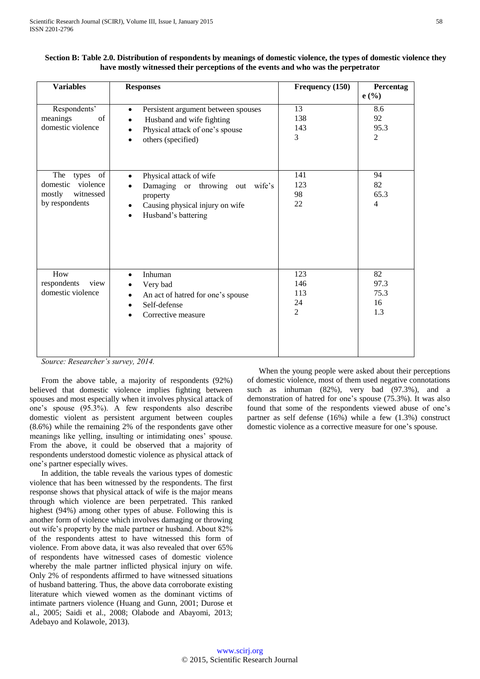| <b>Variables</b>                                                                                                                                                                    | <b>Responses</b>                                                                                                                                                                        | Frequency (150)                           | Percentag<br>e(%)                   |
|-------------------------------------------------------------------------------------------------------------------------------------------------------------------------------------|-----------------------------------------------------------------------------------------------------------------------------------------------------------------------------------------|-------------------------------------------|-------------------------------------|
| Respondents'<br>meanings<br>of<br>domestic violence                                                                                                                                 | Persistent argument between spouses<br>$\bullet$<br>Husband and wife fighting<br>$\bullet$<br>Physical attack of one's spouse<br>$\bullet$<br>others (specified)<br>$\bullet$           | 13<br>138<br>143<br>3                     | 8.6<br>92<br>95.3<br>$\overline{2}$ |
| The<br>$% \left( \left( \mathcal{A},\mathcal{A}\right) \right) =\left( \mathcal{A},\mathcal{A}\right)$ of<br>types<br>domestic<br>violence<br>mostly<br>witnessed<br>by respondents | Physical attack of wife<br>$\bullet$<br>Damaging or throwing<br>out wife's<br>$\bullet$<br>property<br>Causing physical injury on wife<br>$\bullet$<br>Husband's battering<br>$\bullet$ | 141<br>123<br>98<br>22                    | 94<br>82<br>65.3<br>$\overline{4}$  |
| How<br>respondents<br>view<br>domestic violence<br>$\mathbf{r}$<br>$\mathbf{I}$<br>$\sim$<br>$\cdot$                                                                                | Inhuman<br>$\bullet$<br>Very bad<br>٠<br>An act of hatred for one's spouse<br>Self-defense<br>$\bullet$<br>Corrective measure<br>$2011$                                                 | 123<br>146<br>113<br>24<br>$\overline{2}$ | 82<br>97.3<br>75.3<br>16<br>1.3     |

| Section B: Table 2.0. Distribution of respondents by meanings of domestic violence, the types of domestic violence they |
|-------------------------------------------------------------------------------------------------------------------------|
| have mostly witnessed their perceptions of the events and who was the perpetrator                                       |

*Source: Researcher's survey, 2014.*

From the above table, a majority of respondents (92%) believed that domestic violence implies fighting between spouses and most especially when it involves physical attack of one's spouse (95.3%). A few respondents also describe domestic violent as persistent argument between couples (8.6%) while the remaining 2% of the respondents gave other meanings like yelling, insulting or intimidating ones' spouse. From the above, it could be observed that a majority of respondents understood domestic violence as physical attack of one's partner especially wives.

In addition, the table reveals the various types of domestic violence that has been witnessed by the respondents. The first response shows that physical attack of wife is the major means through which violence are been perpetrated. This ranked highest (94%) among other types of abuse. Following this is another form of violence which involves damaging or throwing out wife's property by the male partner or husband. About 82% of the respondents attest to have witnessed this form of violence. From above data, it was also revealed that over 65% of respondents have witnessed cases of domestic violence whereby the male partner inflicted physical injury on wife. Only 2% of respondents affirmed to have witnessed situations of husband battering. Thus, the above data corroborate existing literature which viewed women as the dominant victims of intimate partners violence (Huang and Gunn, 2001; Durose et al., 2005; Saidi et al., 2008; Olabode and Abayomi, 2013; Adebayo and Kolawole, 2013).

When the young people were asked about their perceptions of domestic violence, most of them used negative connotations such as inhuman (82%), very bad (97.3%), and a demonstration of hatred for one's spouse (75.3%). It was also found that some of the respondents viewed abuse of one's partner as self defense (16%) while a few (1.3%) construct domestic violence as a corrective measure for one's spouse.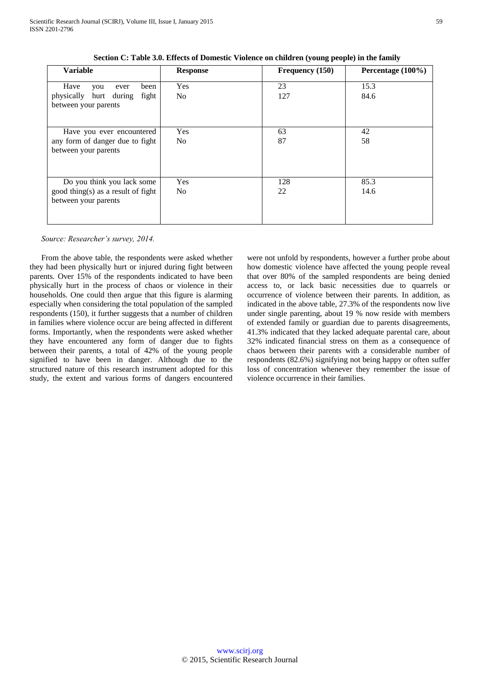| <b>Variable</b>                    | <b>Response</b> | Frequency (150) | Percentage (100%) |  |
|------------------------------------|-----------------|-----------------|-------------------|--|
| Have<br>been<br>you<br>ever        | Yes             | 23              | 15.3              |  |
|                                    |                 |                 |                   |  |
| hurt during<br>fight<br>physically | No.             | 127             | 84.6              |  |
| between your parents               |                 |                 |                   |  |
|                                    |                 |                 |                   |  |
|                                    |                 |                 |                   |  |
| Have you ever encountered          | Yes             | 63              | 42                |  |
| any form of danger due to fight    | N <sub>0</sub>  | 87              | 58                |  |
| between your parents               |                 |                 |                   |  |
|                                    |                 |                 |                   |  |
|                                    |                 |                 |                   |  |
|                                    |                 |                 |                   |  |
| Do you think you lack some         | Yes             | 128             | 85.3              |  |
| good thing(s) as a result of fight | No.             | 22              | 14.6              |  |
| between your parents               |                 |                 |                   |  |
|                                    |                 |                 |                   |  |
|                                    |                 |                 |                   |  |
|                                    |                 |                 |                   |  |

**Section C: Table 3.0. Effects of Domestic Violence on children (young people) in the family**

*Source: Researcher's survey, 2014.*

From the above table, the respondents were asked whether they had been physically hurt or injured during fight between parents. Over 15% of the respondents indicated to have been physically hurt in the process of chaos or violence in their households. One could then argue that this figure is alarming especially when considering the total population of the sampled respondents (150), it further suggests that a number of children in families where violence occur are being affected in different forms. Importantly, when the respondents were asked whether they have encountered any form of danger due to fights between their parents, a total of 42% of the young people signified to have been in danger. Although due to the structured nature of this research instrument adopted for this study, the extent and various forms of dangers encountered were not unfold by respondents, however a further probe about how domestic violence have affected the young people reveal that over 80% of the sampled respondents are being denied access to, or lack basic necessities due to quarrels or occurrence of violence between their parents. In addition, as indicated in the above table, 27.3% of the respondents now live under single parenting, about 19 % now reside with members of extended family or guardian due to parents disagreements, 41.3% indicated that they lacked adequate parental care, about 32% indicated financial stress on them as a consequence of chaos between their parents with a considerable number of respondents (82.6%) signifying not being happy or often suffer loss of concentration whenever they remember the issue of violence occurrence in their families.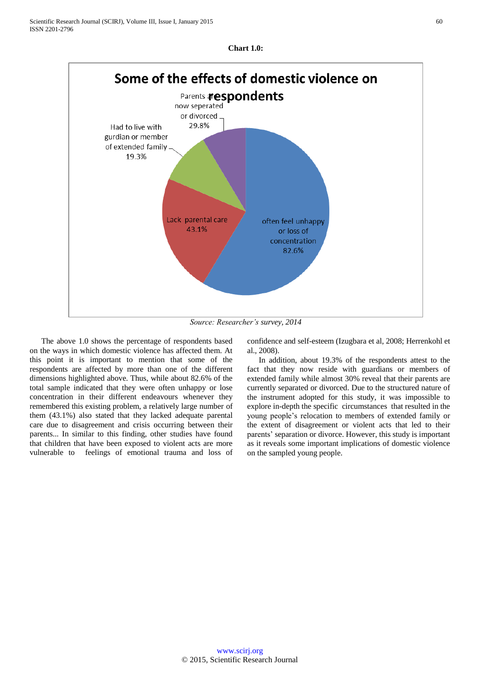

*Source: Researcher's survey, 2014*

The above 1.0 shows the percentage of respondents based on the ways in which domestic violence has affected them. At this point it is important to mention that some of the respondents are affected by more than one of the different dimensions highlighted above. Thus, while about 82.6% of the total sample indicated that they were often unhappy or lose concentration in their different endeavours whenever they remembered this existing problem, a relatively large number of them (43.1%) also stated that they lacked adequate parental care due to disagreement and crisis occurring between their parents... In similar to this finding, other studies have found that children that have been exposed to violent acts are more vulnerable to feelings of emotional trauma and loss of confidence and self-esteem (Izugbara et al, 2008; Herrenkohl et al., 2008).

In addition, about 19.3% of the respondents attest to the fact that they now reside with guardians or members of extended family while almost 30% reveal that their parents are currently separated or divorced. Due to the structured nature of the instrument adopted for this study, it was impossible to explore in-depth the specific circumstances that resulted in the young people's relocation to members of extended family or the extent of disagreement or violent acts that led to their parents' separation or divorce. However, this study is important as it reveals some important implications of domestic violence on the sampled young people.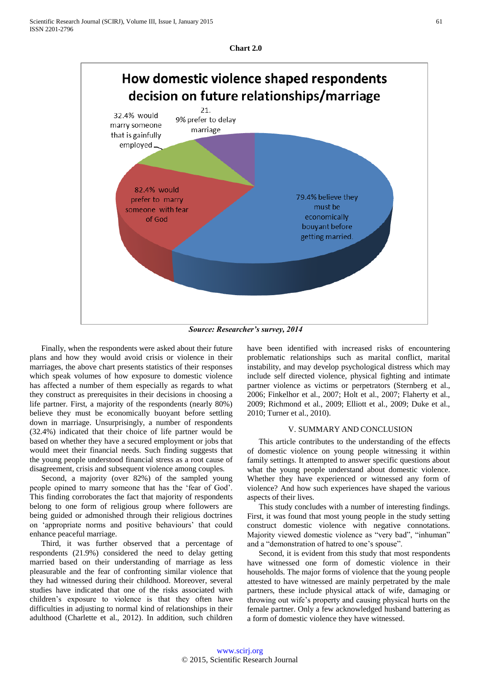



*Source: Researcher's survey, 2014*

Finally, when the respondents were asked about their future plans and how they would avoid crisis or violence in their marriages, the above chart presents statistics of their responses which speak volumes of how exposure to domestic violence has affected a number of them especially as regards to what they construct as prerequisites in their decisions in choosing a life partner. First, a majority of the respondents (nearly 80%) believe they must be economically buoyant before settling down in marriage. Unsurprisingly, a number of respondents (32.4%) indicated that their choice of life partner would be based on whether they have a secured employment or jobs that would meet their financial needs. Such finding suggests that the young people understood financial stress as a root cause of disagreement, crisis and subsequent violence among couples.

Second, a majority (over 82%) of the sampled young people opined to marry someone that has the 'fear of God'. This finding corroborates the fact that majority of respondents belong to one form of religious group where followers are being guided or admonished through their religious doctrines on 'appropriate norms and positive behaviours' that could enhance peaceful marriage.

Third, it was further observed that a percentage of respondents (21.9%) considered the need to delay getting married based on their understanding of marriage as less pleasurable and the fear of confronting similar violence that they had witnessed during their childhood. Moreover, several studies have indicated that one of the risks associated with children's exposure to violence is that they often have difficulties in adjusting to normal kind of relationships in their adulthood (Charlette et al., 2012). In addition, such children have been identified with increased risks of encountering problematic relationships such as marital conflict, marital instability, and may develop psychological distress which may include self directed violence, physical fighting and intimate partner violence as victims or perpetrators (Sternberg et al., 2006; Finkelhor et al., 2007; Holt et al., 2007; Flaherty et al., 2009; Richmond et al., 2009; Elliott et al., 2009; Duke et al., 2010; Turner et al., 2010).

### V. SUMMARY AND CONCLUSION

This article contributes to the understanding of the effects of domestic violence on young people witnessing it within family settings. It attempted to answer specific questions about what the young people understand about domestic violence. Whether they have experienced or witnessed any form of violence? And how such experiences have shaped the various aspects of their lives.

This study concludes with a number of interesting findings. First, it was found that most young people in the study setting construct domestic violence with negative connotations. Majority viewed domestic violence as "very bad", "inhuman" and a "demonstration of hatred to one's spouse".

Second, it is evident from this study that most respondents have witnessed one form of domestic violence in their households. The major forms of violence that the young people attested to have witnessed are mainly perpetrated by the male partners, these include physical attack of wife, damaging or throwing out wife's property and causing physical hurts on the female partner. Only a few acknowledged husband battering as a form of domestic violence they have witnessed.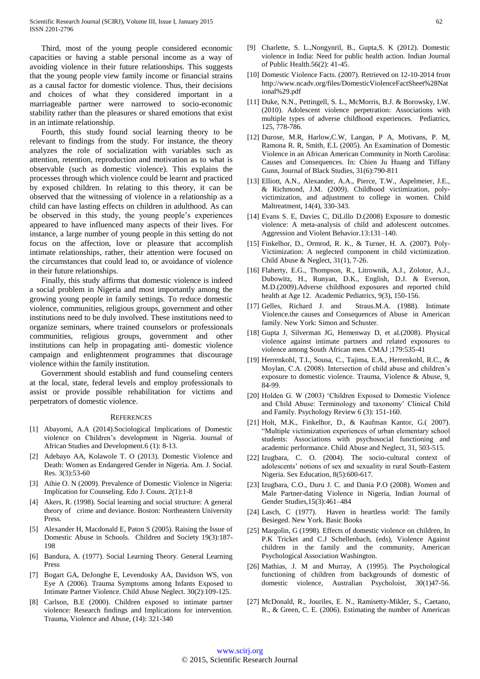Third, most of the young people considered economic capacities or having a stable personal income as a way of avoiding violence in their future relationships. This suggests that the young people view family income or financial strains as a causal factor for domestic violence. Thus, their decisions and choices of what they considered important in a marriageable partner were narrowed to socio-economic stability rather than the pleasures or shared emotions that exist in an intimate relationship.

Fourth, this study found social learning theory to be relevant to findings from the study. For instance, the theory analyzes the role of socialization with variables such as attention, retention, reproduction and motivation as to what is observable (such as domestic violence). This explains the processes through which violence could be learnt and practiced by exposed children. In relating to this theory, it can be observed that the witnessing of violence in a relationship as a child can have lasting effects on children in adulthood. As can be observed in this study, the young people's experiences appeared to have influenced many aspects of their lives. For instance, a large number of young people in this setting do not focus on the affection, love or pleasure that accomplish intimate relationships, rather, their attention were focused on the circumstances that could lead to, or avoidance of violence in their future relationships.

Finally, this study affirms that domestic violence is indeed a social problem in Nigeria and most importantly among the growing young people in family settings. To reduce domestic violence, communities, religious groups, government and other institutions need to be duly involved. These institutions need to organize seminars, where trained counselors or professionals communities, religious groups, government and other institutions can help in propagating anti- domestic violence campaign and enlightenment programmes that discourage violence within the family institution.

Government should establish and fund counseling centers at the local, state, federal levels and employ professionals to assist or provide possible rehabilitation for victims and perpetrators of domestic violence.

#### **REFERENCES**

- [1] Abayomi, A.A (2014).Sociological Implications of Domestic violence on Children's development in Nigeria. Journal of African Studies and Development.6 (1): 8-13.
- [2] Adebayo AA, Kolawole T. O (2013). Domestic Violence and Death: Women as Endangered Gender in Nigeria. Am. J. Social. Res. 3(3):53-60
- [3] Aihie O. N (2009). Prevalence of Domestic Violence in Nigeria: Implication for Counseling. Edo J. Couns. 2(1):1-8
- [4] Akers, R. (1998). Social learning and social structure: A general theory of crime and deviance. Boston: Northeastern University Press.
- [5] Alexander H, Macdonald E, Paton S (2005). Raising the Issue of Domestic Abuse in Schools. Children and Society 19(3):187- 198
- [6] Bandura, A. (1977). Social Learning Theory. General Learning Press
- [7] Bogart GA, DeJonghe E, Levendosky AA, Davidson WS, von Eye A (2006). Trauma Symptoms among Infants Exposed to Intimate Partner Violence. Child Abuse Neglect. 30(2):109-125.
- [8] Carlson, B.E (2000). Children exposed to intimate partner violence: Research findings and Implications for intervention. Trauma, Violence and Abuse, (14): 321-340
- [9] Charlette, S. L.,Nongynril, B., Gupta,S. K (2012). Domestic violence in India: Need for public health action. Indian Journal of Public Health.56(2): 41-45.
- [10] Domestic Violence Facts. (2007). Retrieved on 12-10-2014 from http://www.ncadv.org/files/DomesticViolenceFactSheet%28Nat ional%29.pdf
- [11] Duke, N.N., Pettingell, S. L., McMorris, B.J. & Borowsky, I.W. (2010). Adolescent violence perpetration: Associations with multiple types of adverse childhood experiences. Pediatrics, 125, 778-786.
- [12] Durose, M.R, Harlow,C.W, Langan, P A, Motivans, P. M, Ramona R. R, Smith, E.L (2005). An Examination of Domestic Violence in an African American Community in North Carolina: Causes and Consequences. In: Chien Ju Huang and Tiffany Gunn, Journal of Black Studies, 31(6):790-811
- [13] Elliott, A.N., Alexander, A.A., Pierce, T.W., Aspelmeier, J.E., & Richmond, J.M. (2009). Childhood victimization, polyvictimization, and adjustment to college in women. Child Maltreatment, 14(4), 330-343.
- [14] Evans S. E, Davies C, DiLillo D.(2008) Exposure to domestic violence: A meta-analysis of child and adolescent outcomes. Aggression and Violent Behavior.13:131–140.
- [15] Finkelhor, D., Ormrod, R. K., & Turner, H. A. (2007). Poly-Victimization: A neglected component in child victimization. Child Abuse & Neglect, 31(1), 7-26.
- [16] Flaherty, E.G., Thompson, R., Litrownik, A.J., Zolotor, A.J., Dubowitz, H., Runyan, D.K., English, D.J. & Everson, M.D.(2009).Adverse childhood exposures and reported child health at Age 12. Academic Pediatrics, 9(3), 150-156.
- [17] Gelles, Richard J. and Straus.M.A. (1988). Intimate Violence.the causes and Consequences of Abuse in American family. New York: Simon and Schuster.
- [18] Gupta J, Silverman JG, Hemenway D, et al.(2008). Physical violence against intimate partners and related exposures to violence among South African men. CMAJ ;179:535-41
- [19] Herrenkohl, T.I., Sousa, C., Tajima, E.A., Herrenkohl, R.C., & Moylan, C.A. (2008). Intersection of child abuse and children's exposure to domestic violence. Trauma, Violence & Abuse, 9, 84-99.
- [20] Holden G. W (2003) 'Children Exposed to Domestic Violence and Child Abuse: Terminology and taxonomy' Clinical Child and Family. Psychology Review 6 (3): 151-160.
- [21] Holt, M.K., Finkelhor, D., & Kaufman Kantor, G.( 2007). "Multiple victimization experiences of urban elementary school students: Associations with psychosocial functioning and academic performance. Child Abuse and Neglect, 31, 503-515.
- [22] Izugbara, C. O. (2004). The socio-cultural context of adolescents' notions of sex and sexuality in rural South-Eastern Nigeria. Sex Education, 8(5):600-617.
- [23] Izugbara, C.O., Duru J. C. and Dania P.O (2008). Women and Male Partner-dating Violence in Nigeria, Indian Journal of Gender Studies,15(3):461–484
- [24] Lasch, C (1977). Haven in heartless world: The family Besieged. New York. Basic Books
- [25] Margolin, G (1998). Effects of domestic violence on children, In P.K Tricket and C.J Schellenbach, (eds), Violence Against children in the family and the community, American Psychological Association Washington.
- [26] Mathias, J. M and Murray, A (1995). The Psychological functioning of children from backgrounds of domestic of domestic violence, Australian Psycholoist, 30(1)47-56.
- [27] McDonald, R., Jouriles, E. N., Ramisetty-Mikler, S., Caetano, R., & Green, C. E. (2006). Estimating the number of American